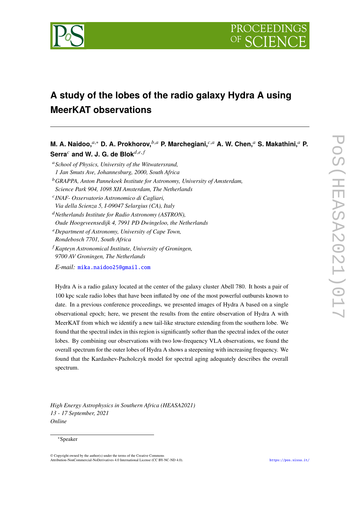

# **A study of the lobes of the radio galaxy Hydra A using MeerKAT observations**

**M. A. Naidoo.**<sup>a,∗</sup> **D. A. Prokhorov.**<sup>b,a</sup> **P. Marchegiani.**<sup>c,a</sup> **A. W. Chen.**<sup>a</sup> S. Makathini.<sup>a</sup> P. Serra<sup>c</sup> and W. J. G. de Blok $^{d,e,f}$ *School of Physics, University of the Witwatersrand, 1 Jan Smuts Ave, Johannesburg, 2000, South Africa GRAPPA, Anton Pannekoek Institute for Astronomy, University of Amsterdam, Science Park 904, 1098 XH Amsterdam, The Netherlands INAF- Osservatorio Astronomico di Cagliari, Via della Scienza 5, I-09047 Selargius (CA), Italy Netherlands Institute for Radio Astronomy (ASTRON), Oude Hoogeveensedijk 4, 7991 PD Dwingeloo, the Netherlands Department of Astronomy, University of Cape Town, Rondebosch 7701, South Africa Kapteyn Astronomical Institute, University of Groningen, 9700 AV Groningen, The Netherlands E-mail:* [mika.naidoo25@gmail.com](mailto:mika.naidoo25@gmail.com)

Hydra A is a radio galaxy located at the center of the galaxy cluster Abell 780. It hosts a pair of 100 kpc scale radio lobes that have been inflated by one of the most powerful outbursts known to date. In a previous conference proceedings, we presented images of Hydra A based on a single observational epoch; here, we present the results from the entire observation of Hydra A with MeerKAT from which we identify a new tail-like structure extending from the southern lobe. We found that the spectral index in this region is significantly softer than the spectral index of the outer lobes. By combining our observations with two low-frequency VLA observations, we found the overall spectrum for the outer lobes of Hydra A shows a steepening with increasing frequency. We found that the Kardashev-Pacholczyk model for spectral aging adequately describes the overall spectrum.

*High Energy Astrophysics in Southern Africa (HEASA2021) 13 - 17 September, 2021 Online*

#### <sup>∗</sup>Speaker

<sup>©</sup> Copyright owned by the author(s) under the terms of the Creative Commons Attribution-NonCommercial-NoDerivatives 4.0 International License (CC BY-NC-ND 4.0). <https://pos.sissa.it/>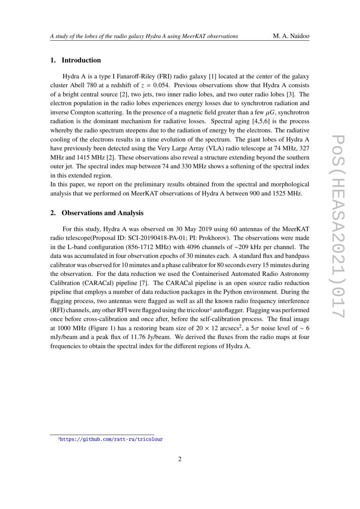## **1. Introduction**

Hydra A is a type I Fanaroff-Riley (FRI) radio galaxy [1] located at the center of the galaxy cluster Abell 780 at a redshift of  $z = 0.054$ . Previous observations show that Hydra A consists of a bright central source [2], two jets, two inner radio lobes, and two outer radio lobes [3]. The electron population in the radio lobes experiences energy losses due to synchrotron radiation and inverse Compton scattering. In the presence of a magnetic field greater than a few  $\mu$ G, synchrotron radiation is the dominant mechanism for radiative losses. Spectral aging [4,5,6] is the process whereby the radio spectrum steepens due to the radiation of energy by the electrons. The radiative cooling of the electrons results in a time evolution of the spectrum. The giant lobes of Hydra A have previously been detected using the Very Large Array (VLA) radio telescope at 74 MHz, 327 MHz and 1415 MHz [2]. These observations also reveal a structure extending beyond the southern outer jet. The spectral index map between 74 and 330 MHz shows a softening of the spectral index in this extended region.

In this paper, we report on the preliminary results obtained from the spectral and morphological analysis that we performed on MeerKAT observations of Hydra A between 900 and 1525 MHz.

#### **2. Observations and Analysis**

For this study, Hydra A was observed on 30 May 2019 using 60 antennas of the MeerKAT radio telescope(Proposal ID: SCI-20190418-PA-01; PI: Prokhorov). The observations were made in the L-band configuration (856-1712 MHz) with 4096 channels of ∼209 kHz per channel. The data was accumulated in four observation epochs of 30 minutes each. A standard flux and bandpass calibrator was observed for 10 minutes and a phase calibrator for 80 seconds every 15 minutes during the observation. For the data reduction we used the Containerised Automated Radio Astronomy Calibration (CARACal) pipeline [7]. The CARACal pipeline is an open source radio reduction pipeline that employs a number of data reduction packages in the Python environment. During the flagging process, two antennas were flagged as well as all the known radio frequency interference  $(RFI)$  channels, any other RFI were flagged using the tricolour<sup>[1](#page-1-0)</sup> autoflagger. Flagging was performed once before cross-calibration and once after, before the self-calibration process. The final image at 1000 MHz (Figure 1) has a restoring beam size of 20  $\times$  12 arcsecs<sup>2</sup>, a 5 $\sigma$  noise level of ~ 6 mJy/beam and a peak flux of 11.76 Jy/beam. We derived the fluxes from the radio maps at four frequencies to obtain the spectral index for the different regions of Hydra A.

<span id="page-1-0"></span><sup>1</sup><https://github.com/ratt-ru/tricolour>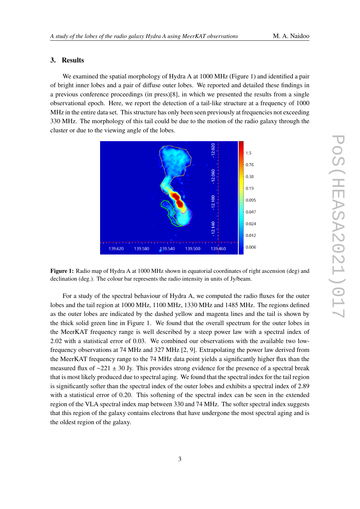#### **3. Results**

We examined the spatial morphology of Hydra A at 1000 MHz (Figure 1) and identified a pair of bright inner lobes and a pair of diffuse outer lobes. We reported and detailed these findings in a previous conference proceedings (in press)[8], in which we presented the results from a single observational epoch. Here, we report the detection of a tail-like structure at a frequency of 1000 MHz in the entire data set. This structure has only been seen previously at frequencies not exceeding 330 MHz. The morphology of this tail could be due to the motion of the radio galaxy through the cluster or due to the viewing angle of the lobes.



**Figure 1:** Radio map of Hydra A at 1000 MHz shown in equatorial coordinates of right ascension (deg) and declination (deg.). The colour bar represents the radio intensity in units of Jy/beam.

For a study of the spectral behaviour of Hydra A, we computed the radio fluxes for the outer lobes and the tail region at 1000 MHz, 1100 MHz, 1330 MHz and 1485 MHz. The regions defined as the outer lobes are indicated by the dashed yellow and magenta lines and the tail is shown by the thick solid green line in Figure 1. We found that the overall spectrum for the outer lobes in the MeerKAT frequency range is well described by a steep power law with a spectral index of 2.02 with a statistical error of 0.03. We combined our observations with the available two lowfrequency observations at 74 MHz and 327 MHz [2, 9]. Extrapolating the power law derived from the MeerKAT frequency range to the 74 MHz data point yields a significantly higher flux than the measured flux of ∼221 ± 30 Jy. This provides strong evidence for the presence of a spectral break that is most likely produced due to spectral aging. We found that the spectral index for the tail region is significantly softer than the spectral index of the outer lobes and exhibits a spectral index of 2.89 with a statistical error of 0.20. This softening of the spectral index can be seen in the extended region of the VLA spectral index map between 330 and 74 MHz. The softer spectral index suggests that this region of the galaxy contains electrons that have undergone the most spectral aging and is the oldest region of the galaxy.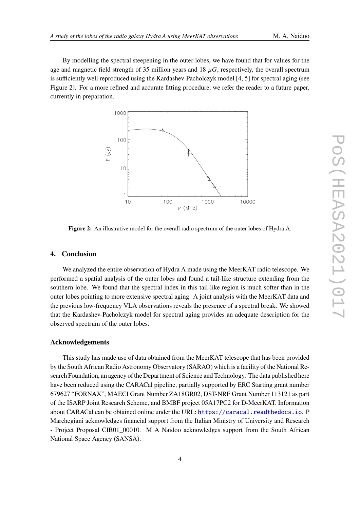By modelling the spectral steepening in the outer lobes, we have found that for values for the age and magnetic field strength of 35 million years and 18  $\mu$ G, respectively, the overall spectrum is sufficiently well reproduced using the Kardashev-Pacholczyk model [4, 5] for spectral aging (see Figure 2). For a more refined and accurate fitting procedure, we refer the reader to a future paper, currently in preparation.



**Figure 2:** An illustrative model for the overall radio spectrum of the outer lobes of Hydra A.

### **4. Conclusion**

We analyzed the entire observation of Hydra A made using the MeerKAT radio telescope. We performed a spatial analysis of the outer lobes and found a tail-like structure extending from the southern lobe. We found that the spectral index in this tail-like region is much softer than in the outer lobes pointing to more extensive spectral aging. A joint analysis with the MeerKAT data and the previous low-frequency VLA observations reveals the presence of a spectral break. We showed that the Kardashev-Pacholczyk model for spectral aging provides an adequate description for the observed spectrum of the outer lobes.

#### **Acknowledgements**

This study has made use of data obtained from the MeerKAT telescope that has been provided by the South African Radio Astronomy Observatory (SARAO) which is a facility of the National Research Foundation, an agency of the Department of Science and Technology. The data published here have been reduced using the CARACal pipeline, partially supported by ERC Starting grant number 679627 "FORNAX", MAECI Grant Number ZA18GR02, DST-NRF Grant Number 113121 as part of the ISARP Joint Research Scheme, and BMBF project 05A17PC2 for D-MeerKAT. Information about CARACal can be obtained online under the URL: <https://caracal.readthedocs.io>. P Marchegiani acknowledges financial support from the Italian Ministry of University and Research - Project Proposal CIR01 00010. M A Naidoo acknowledges support from the South African National Space Agency (SANSA).